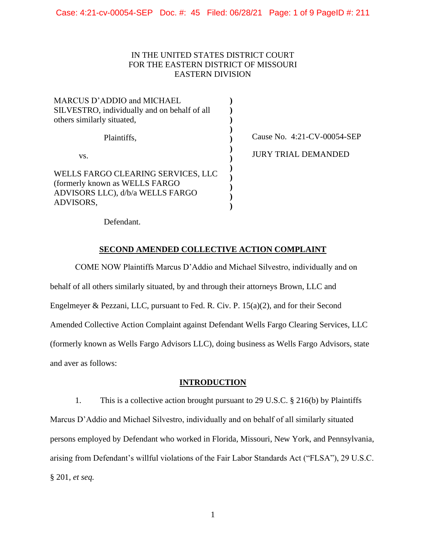## IN THE UNITED STATES DISTRICT COURT FOR THE EASTERN DISTRICT OF MISSOURI EASTERN DIVISION

| MARCUS D'ADDIO and MICHAEL                                                                                            |  |
|-----------------------------------------------------------------------------------------------------------------------|--|
| SILVESTRO, individually and on behalf of all                                                                          |  |
| others similarly situated,                                                                                            |  |
| Plaintiffs,                                                                                                           |  |
| VS.                                                                                                                   |  |
| WELLS FARGO CLEARING SERVICES, LLC<br>(formerly known as WELLS FARGO<br>ADVISORS LLC), d/b/a WELLS FARGO<br>ADVISORS, |  |

Cause No. 4:21-CV-00054-SEP

JURY TRIAL DEMANDED

Defendant.

# **SECOND AMENDED COLLECTIVE ACTION COMPLAINT**

COME NOW Plaintiffs Marcus D'Addio and Michael Silvestro, individually and on behalf of all others similarly situated, by and through their attorneys Brown, LLC and Engelmeyer & Pezzani, LLC, pursuant to Fed. R. Civ. P. 15(a)(2), and for their Second Amended Collective Action Complaint against Defendant Wells Fargo Clearing Services, LLC (formerly known as Wells Fargo Advisors LLC), doing business as Wells Fargo Advisors, state and aver as follows:

# **INTRODUCTION**

1. This is a collective action brought pursuant to 29 U.S.C. § 216(b) by Plaintiffs Marcus D'Addio and Michael Silvestro, individually and on behalf of all similarly situated persons employed by Defendant who worked in Florida, Missouri, New York, and Pennsylvania, arising from Defendant's willful violations of the Fair Labor Standards Act ("FLSA"), 29 U.S.C. § 201, *et seq.*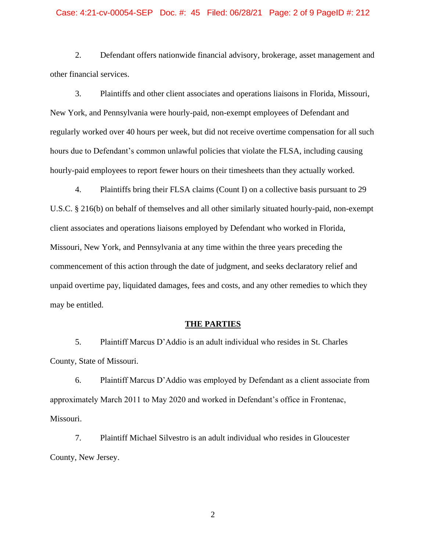#### Case: 4:21-cv-00054-SEP Doc. #: 45 Filed: 06/28/21 Page: 2 of 9 PageID #: 212

2. Defendant offers nationwide financial advisory, brokerage, asset management and other financial services.

3. Plaintiffs and other client associates and operations liaisons in Florida, Missouri, New York, and Pennsylvania were hourly-paid, non-exempt employees of Defendant and regularly worked over 40 hours per week, but did not receive overtime compensation for all such hours due to Defendant's common unlawful policies that violate the FLSA, including causing hourly-paid employees to report fewer hours on their timesheets than they actually worked.

4. Plaintiffs bring their FLSA claims (Count I) on a collective basis pursuant to 29 U.S.C. § 216(b) on behalf of themselves and all other similarly situated hourly-paid, non-exempt client associates and operations liaisons employed by Defendant who worked in Florida, Missouri, New York, and Pennsylvania at any time within the three years preceding the commencement of this action through the date of judgment, and seeks declaratory relief and unpaid overtime pay, liquidated damages, fees and costs, and any other remedies to which they may be entitled.

#### **THE PARTIES**

5. Plaintiff Marcus D'Addio is an adult individual who resides in St. Charles County, State of Missouri.

6. Plaintiff Marcus D'Addio was employed by Defendant as a client associate from approximately March 2011 to May 2020 and worked in Defendant's office in Frontenac, Missouri.

7. Plaintiff Michael Silvestro is an adult individual who resides in Gloucester County, New Jersey.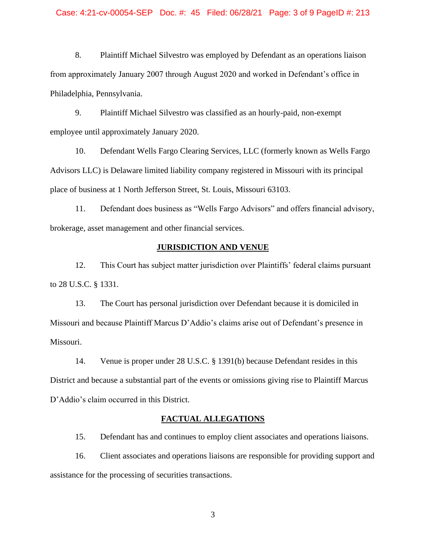#### Case: 4:21-cv-00054-SEP Doc. #: 45 Filed: 06/28/21 Page: 3 of 9 PageID #: 213

8. Plaintiff Michael Silvestro was employed by Defendant as an operations liaison from approximately January 2007 through August 2020 and worked in Defendant's office in Philadelphia, Pennsylvania.

9. Plaintiff Michael Silvestro was classified as an hourly-paid, non-exempt employee until approximately January 2020.

10. Defendant Wells Fargo Clearing Services, LLC (formerly known as Wells Fargo Advisors LLC) is Delaware limited liability company registered in Missouri with its principal place of business at 1 North Jefferson Street, St. Louis, Missouri 63103.

11. Defendant does business as "Wells Fargo Advisors" and offers financial advisory, brokerage, asset management and other financial services.

### **JURISDICTION AND VENUE**

12. This Court has subject matter jurisdiction over Plaintiffs' federal claims pursuant to 28 U.S.C. § 1331.

13. The Court has personal jurisdiction over Defendant because it is domiciled in Missouri and because Plaintiff Marcus D'Addio's claims arise out of Defendant's presence in Missouri.

14. Venue is proper under 28 U.S.C. § 1391(b) because Defendant resides in this District and because a substantial part of the events or omissions giving rise to Plaintiff Marcus D'Addio's claim occurred in this District.

#### **FACTUAL ALLEGATIONS**

15. Defendant has and continues to employ client associates and operations liaisons.

16. Client associates and operations liaisons are responsible for providing support and assistance for the processing of securities transactions.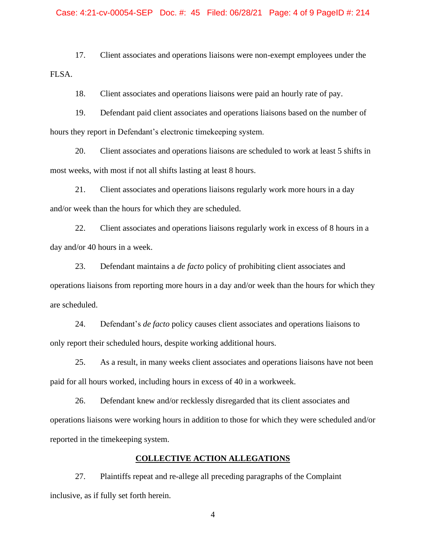#### Case: 4:21-cv-00054-SEP Doc. #: 45 Filed: 06/28/21 Page: 4 of 9 PageID #: 214

17. Client associates and operations liaisons were non-exempt employees under the FLSA.

18. Client associates and operations liaisons were paid an hourly rate of pay.

19. Defendant paid client associates and operations liaisons based on the number of hours they report in Defendant's electronic timekeeping system.

20. Client associates and operations liaisons are scheduled to work at least 5 shifts in most weeks, with most if not all shifts lasting at least 8 hours.

21. Client associates and operations liaisons regularly work more hours in a day and/or week than the hours for which they are scheduled.

22. Client associates and operations liaisons regularly work in excess of 8 hours in a day and/or 40 hours in a week.

23. Defendant maintains a *de facto* policy of prohibiting client associates and operations liaisons from reporting more hours in a day and/or week than the hours for which they are scheduled.

24. Defendant's *de facto* policy causes client associates and operations liaisons to only report their scheduled hours, despite working additional hours.

25. As a result, in many weeks client associates and operations liaisons have not been paid for all hours worked, including hours in excess of 40 in a workweek.

26. Defendant knew and/or recklessly disregarded that its client associates and operations liaisons were working hours in addition to those for which they were scheduled and/or reported in the timekeeping system.

### **COLLECTIVE ACTION ALLEGATIONS**

27. Plaintiffs repeat and re-allege all preceding paragraphs of the Complaint inclusive, as if fully set forth herein.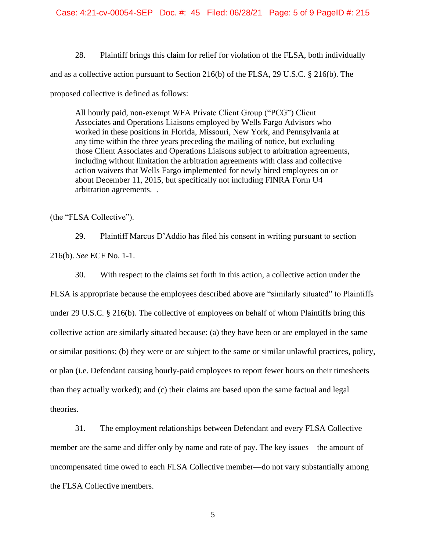28. Plaintiff brings this claim for relief for violation of the FLSA, both individually and as a collective action pursuant to Section 216(b) of the FLSA, 29 U.S.C. § 216(b). The proposed collective is defined as follows:

All hourly paid, non-exempt WFA Private Client Group ("PCG") Client Associates and Operations Liaisons employed by Wells Fargo Advisors who worked in these positions in Florida, Missouri, New York, and Pennsylvania at any time within the three years preceding the mailing of notice, but excluding those Client Associates and Operations Liaisons subject to arbitration agreements, including without limitation the arbitration agreements with class and collective action waivers that Wells Fargo implemented for newly hired employees on or about December 11, 2015, but specifically not including FINRA Form U4 arbitration agreements. .

(the "FLSA Collective").

29. Plaintiff Marcus D'Addio has filed his consent in writing pursuant to section 216(b). *See* ECF No. 1-1.

30. With respect to the claims set forth in this action, a collective action under the FLSA is appropriate because the employees described above are "similarly situated" to Plaintiffs under 29 U.S.C. § 216(b). The collective of employees on behalf of whom Plaintiffs bring this collective action are similarly situated because: (a) they have been or are employed in the same or similar positions; (b) they were or are subject to the same or similar unlawful practices, policy, or plan (i.e. Defendant causing hourly-paid employees to report fewer hours on their timesheets than they actually worked); and (c) their claims are based upon the same factual and legal theories.

31. The employment relationships between Defendant and every FLSA Collective member are the same and differ only by name and rate of pay. The key issues—the amount of uncompensated time owed to each FLSA Collective member—do not vary substantially among the FLSA Collective members.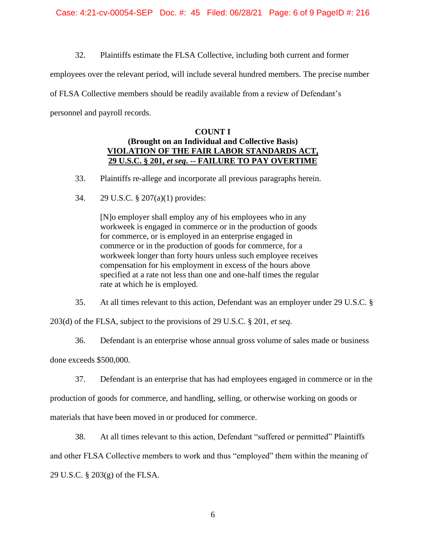32. Plaintiffs estimate the FLSA Collective, including both current and former

employees over the relevant period, will include several hundred members. The precise number

of FLSA Collective members should be readily available from a review of Defendant's

personnel and payroll records.

## **COUNT I (Brought on an Individual and Collective Basis) VIOLATION OF THE FAIR LABOR STANDARDS ACT, 29 U.S.C. § 201,** *et seq***. -- FAILURE TO PAY OVERTIME**

33. Plaintiffs re-allege and incorporate all previous paragraphs herein.

34. 29 U.S.C. § 207(a)(1) provides:

[N]o employer shall employ any of his employees who in any workweek is engaged in commerce or in the production of goods for commerce, or is employed in an enterprise engaged in commerce or in the production of goods for commerce, for a workweek longer than forty hours unless such employee receives compensation for his employment in excess of the hours above specified at a rate not less than one and one-half times the regular rate at which he is employed.

35. At all times relevant to this action, Defendant was an employer under 29 U.S.C. §

203(d) of the FLSA, subject to the provisions of 29 U.S.C. § 201, *et seq*.

36. Defendant is an enterprise whose annual gross volume of sales made or business

done exceeds \$500,000.

37. Defendant is an enterprise that has had employees engaged in commerce or in the

production of goods for commerce, and handling, selling, or otherwise working on goods or

materials that have been moved in or produced for commerce.

38. At all times relevant to this action, Defendant "suffered or permitted" Plaintiffs and other FLSA Collective members to work and thus "employed" them within the meaning of 29 U.S.C. § 203(g) of the FLSA.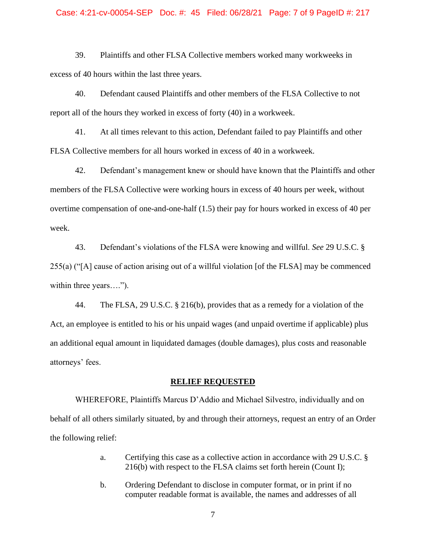#### Case: 4:21-cv-00054-SEP Doc. #: 45 Filed: 06/28/21 Page: 7 of 9 PageID #: 217

39. Plaintiffs and other FLSA Collective members worked many workweeks in excess of 40 hours within the last three years.

40. Defendant caused Plaintiffs and other members of the FLSA Collective to not report all of the hours they worked in excess of forty (40) in a workweek.

41. At all times relevant to this action, Defendant failed to pay Plaintiffs and other FLSA Collective members for all hours worked in excess of 40 in a workweek.

42. Defendant's management knew or should have known that the Plaintiffs and other members of the FLSA Collective were working hours in excess of 40 hours per week, without overtime compensation of one-and-one-half (1.5) their pay for hours worked in excess of 40 per week.

43. Defendant's violations of the FLSA were knowing and willful. *See* 29 U.S.C. § 255(a) ("[A] cause of action arising out of a willful violation [of the FLSA] may be commenced within three years....").

44. The FLSA, 29 U.S.C. § 216(b), provides that as a remedy for a violation of the Act, an employee is entitled to his or his unpaid wages (and unpaid overtime if applicable) plus an additional equal amount in liquidated damages (double damages), plus costs and reasonable attorneys' fees.

### **RELIEF REQUESTED**

WHEREFORE, Plaintiffs Marcus D'Addio and Michael Silvestro, individually and on behalf of all others similarly situated, by and through their attorneys, request an entry of an Order the following relief:

- a. Certifying this case as a collective action in accordance with 29 U.S.C. § 216(b) with respect to the FLSA claims set forth herein (Count I);
- b. Ordering Defendant to disclose in computer format, or in print if no computer readable format is available, the names and addresses of all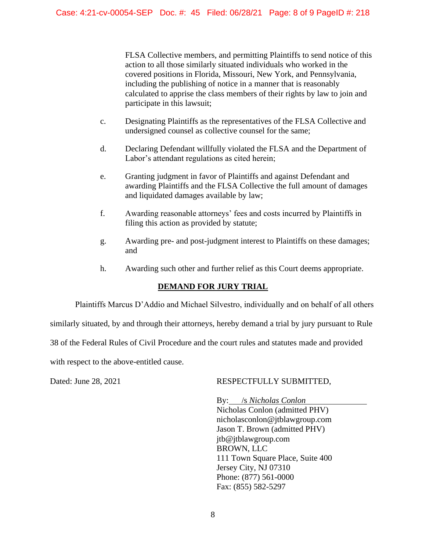FLSA Collective members, and permitting Plaintiffs to send notice of this action to all those similarly situated individuals who worked in the covered positions in Florida, Missouri, New York, and Pennsylvania, including the publishing of notice in a manner that is reasonably calculated to apprise the class members of their rights by law to join and participate in this lawsuit;

- c. Designating Plaintiffs as the representatives of the FLSA Collective and undersigned counsel as collective counsel for the same;
- d. Declaring Defendant willfully violated the FLSA and the Department of Labor's attendant regulations as cited herein;
- e. Granting judgment in favor of Plaintiffs and against Defendant and awarding Plaintiffs and the FLSA Collective the full amount of damages and liquidated damages available by law;
- f. Awarding reasonable attorneys' fees and costs incurred by Plaintiffs in filing this action as provided by statute;
- g. Awarding pre- and post-judgment interest to Plaintiffs on these damages; and
- h. Awarding such other and further relief as this Court deems appropriate.

# **DEMAND FOR JURY TRIAL**

Plaintiffs Marcus D'Addio and Michael Silvestro, individually and on behalf of all others

similarly situated, by and through their attorneys, hereby demand a trial by jury pursuant to Rule

38 of the Federal Rules of Civil Procedure and the court rules and statutes made and provided

with respect to the above-entitled cause.

# Dated: June 28, 2021 RESPECTFULLY SUBMITTED,

By: /s *Nicholas Conlon* Nicholas Conlon (admitted PHV) nicholasconlon@jtblawgroup.com Jason T. Brown (admitted PHV) jtb@jtblawgroup.com BROWN, LLC 111 Town Square Place, Suite 400 Jersey City, NJ 07310 Phone: (877) 561-0000 Fax: (855) 582-5297